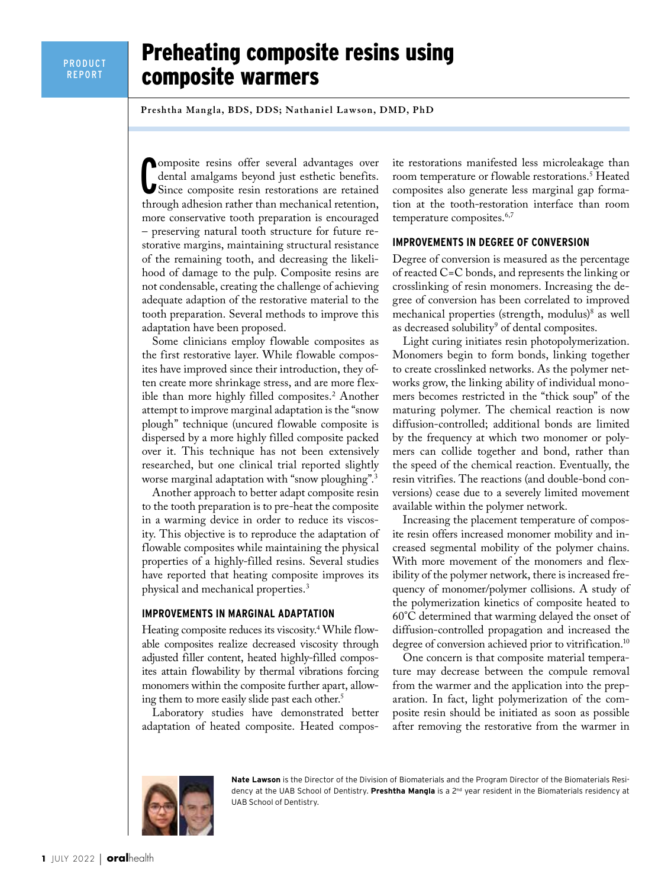# Preheating composite resins using composite warmers

**Preshtha Mangla, BDS, DDS; Nathaniel Lawson, DMD, PhD**

Composite resins offer several advantages over<br>dental amalgams beyond just esthetic benefits.<br>Since composite resin restorations are retained omposite resins offer several advantages over dental amalgams beyond just esthetic benefits. through adhesion rather than mechanical retention, more conservative tooth preparation is encouraged – preserving natural tooth structure for future restorative margins, maintaining structural resistance of the remaining tooth, and decreasing the likelihood of damage to the pulp. Composite resins are not condensable, creating the challenge of achieving adequate adaption of the restorative material to the tooth preparation. Several methods to improve this adaptation have been proposed.

Some clinicians employ flowable composites as the first restorative layer. While flowable composites have improved since their introduction, they often create more shrinkage stress, and are more flexible than more highly filled composites.2 Another attempt to improve marginal adaptation is the "snow plough" technique (uncured flowable composite is dispersed by a more highly filled composite packed over it. This technique has not been extensively researched, but one clinical trial reported slightly worse marginal adaptation with "snow ploughing".3

Another approach to better adapt composite resin to the tooth preparation is to pre-heat the composite in a warming device in order to reduce its viscosity. This objective is to reproduce the adaptation of flowable composites while maintaining the physical properties of a highly-filled resins. Several studies have reported that heating composite improves its physical and mechanical properties.3

#### **IMPROVEMENTS IN MARGINAL ADAPTATION**

Heating composite reduces its viscosity.4 While flowable composites realize decreased viscosity through adjusted filler content, heated highly-filled composites attain flowability by thermal vibrations forcing monomers within the composite further apart, allowing them to more easily slide past each other.<sup>5</sup>

Laboratory studies have demonstrated better adaptation of heated composite. Heated composite restorations manifested less microleakage than room temperature or flowable restorations.<sup>5</sup> Heated composites also generate less marginal gap formation at the tooth-restoration interface than room temperature composites.<sup>6,7</sup>

# **IMPROVEMENTS IN DEGREE OF CONVERSION**

Degree of conversion is measured as the percentage of reacted C=C bonds, and represents the linking or crosslinking of resin monomers. Increasing the degree of conversion has been correlated to improved mechanical properties (strength, modulus)<sup>8</sup> as well as decreased solubility<sup>9</sup> of dental composites.

Light curing initiates resin photopolymerization. Monomers begin to form bonds, linking together to create crosslinked networks. As the polymer networks grow, the linking ability of individual monomers becomes restricted in the "thick soup" of the maturing polymer. The chemical reaction is now diffusion-controlled; additional bonds are limited by the frequency at which two monomer or polymers can collide together and bond, rather than the speed of the chemical reaction. Eventually, the resin vitrifies. The reactions (and double-bond conversions) cease due to a severely limited movement available within the polymer network.

Increasing the placement temperature of composite resin offers increased monomer mobility and increased segmental mobility of the polymer chains. With more movement of the monomers and flexibility of the polymer network, there is increased frequency of monomer/polymer collisions. A study of the polymerization kinetics of composite heated to 60°C determined that warming delayed the onset of diffusion-controlled propagation and increased the degree of conversion achieved prior to vitrification.<sup>10</sup>

One concern is that composite material temperature may decrease between the compule removal from the warmer and the application into the preparation. In fact, light polymerization of the composite resin should be initiated as soon as possible after removing the restorative from the warmer in

**Nate Lawson** is the Director of the Division of Biomaterials and the Program Director of the Biomaterials Residency at the UAB School of Dentistry. **Preshtha Mangla** is a 2nd year resident in the Biomaterials residency at UAB School of Dentistry.

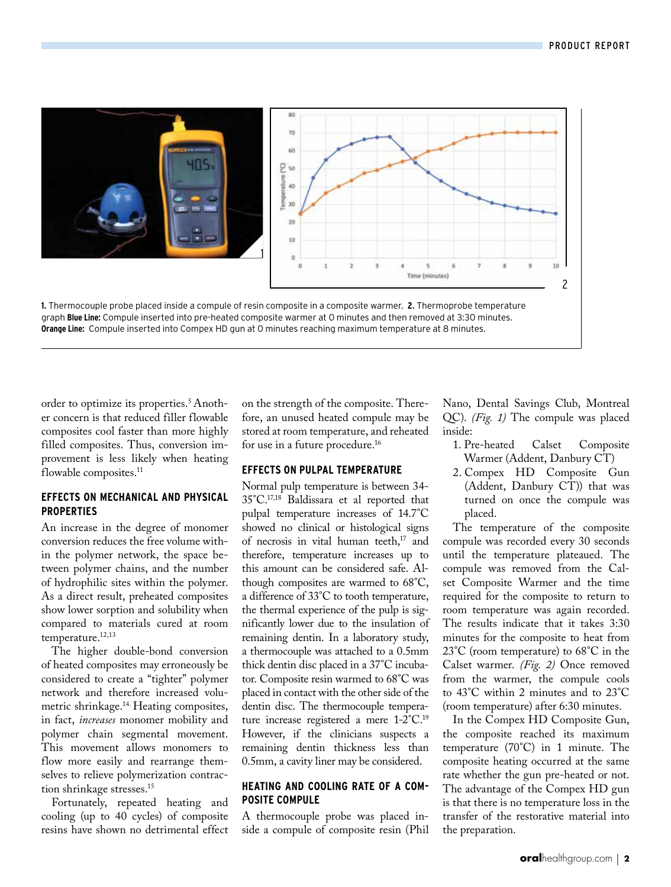

graph **Blue Line:** Compule inserted into pre-heated composite warmer at 0 minutes and then removed at 3:30 minutes. **Orange Line:** Compule inserted into Compex HD gun at 0 minutes reaching maximum temperature at 8 minutes.

order to optimize its properties.<sup>5</sup> Another concern is that reduced filler flowable composites cool faster than more highly filled composites. Thus, conversion improvement is less likely when heating flowable composites.<sup>11</sup>

# **EFFECTS ON MECHANICAL AND PHYSICAL PROPERTIES**

An increase in the degree of monomer conversion reduces the free volume within the polymer network, the space between polymer chains, and the number of hydrophilic sites within the polymer. As a direct result, preheated composites show lower sorption and solubility when compared to materials cured at room temperature.<sup>12,13</sup>

The higher double-bond conversion of heated composites may erroneously be considered to create a "tighter" polymer network and therefore increased volumetric shrinkage.14. Heating composites, in fact, *increases* monomer mobility and polymer chain segmental movement. This movement allows monomers to flow more easily and rearrange themselves to relieve polymerization contraction shrinkage stresses.<sup>15</sup>

Fortunately, repeated heating and cooling (up to 40 cycles) of composite resins have shown no detrimental effect on the strength of the composite. Therefore, an unused heated compule may be stored at room temperature, and reheated for use in a future procedure.<sup>16</sup>

### **EFFECTS ON PULPAL TEMPERATURE**

Normal pulp temperature is between 34- 35°C.17,18 Baldissara et al reported that pulpal temperature increases of 14.7°C showed no clinical or histological signs of necrosis in vital human teeth,<sup>17</sup> and therefore, temperature increases up to this amount can be considered safe. Although composites are warmed to 68°C, a difference of 33°C to tooth temperature, the thermal experience of the pulp is significantly lower due to the insulation of remaining dentin. In a laboratory study, a thermocouple was attached to a 0.5mm thick dentin disc placed in a 37°C incubator. Composite resin warmed to 68°C was placed in contact with the other side of the dentin disc. The thermocouple temperature increase registered a mere 1-2°C.19 However, if the clinicians suspects a remaining dentin thickness less than 0.5mm, a cavity liner may be considered.

# **HEATING AND COOLING RATE OF A COM-POSITE COMPULE**

A thermocouple probe was placed inside a compule of composite resin (Phil

Nano, Dental Savings Club, Montreal QC). *(Fig. 1)* The compule was placed inside:

- 1. Pre-heated Calset Composite Warmer (Addent, Danbury CT)
- 2. Compex HD Composite Gun (Addent, Danbury CT)) that was turned on once the compule was placed.

The temperature of the composite compule was recorded every 30 seconds until the temperature plateaued. The compule was removed from the Calset Composite Warmer and the time required for the composite to return to room temperature was again recorded. The results indicate that it takes 3:30 minutes for the composite to heat from 23°C (room temperature) to 68°C in the Calset warmer. *(Fig. 2)* Once removed from the warmer, the compule cools to 43°C within 2 minutes and to 23°C (room temperature) after 6:30 minutes.

In the Compex HD Composite Gun, the composite reached its maximum temperature (70°C) in 1 minute. The composite heating occurred at the same rate whether the gun pre-heated or not. The advantage of the Compex HD gun is that there is no temperature loss in the transfer of the restorative material into the preparation.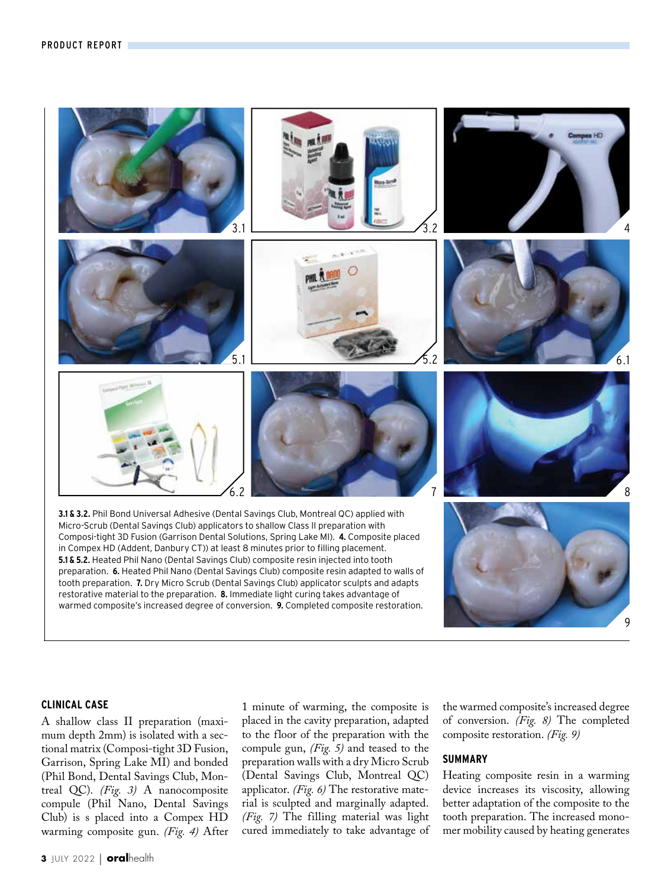

### **CLINICAL CASE**

A shallow class II preparation (maximum depth 2mm) is isolated with a sectional matrix (Composi-tight 3D Fusion, Garrison, Spring Lake MI) and bonded (Phil Bond, Dental Savings Club, Montreal QC). *(Fig. 3)* A nanocomposite compule (Phil Nano, Dental Savings Club) is s placed into a Compex HD warming composite gun. *(Fig. 4)* After 1 minute of warming, the composite is placed in the cavity preparation, adapted to the floor of the preparation with the compule gun, *(Fig. 5)* and teased to the preparation walls with a dry Micro Scrub (Dental Savings Club, Montreal QC) applicator. *(Fig. 6)* The restorative material is sculpted and marginally adapted. *(Fig. 7)* The filling material was light cured immediately to take advantage of the warmed composite's increased degree of conversion. *(Fig. 8)* The completed composite restoration. *(Fig. 9)*

# **SUMMARY**

Heating composite resin in a warming device increases its viscosity, allowing better adaptation of the composite to the tooth preparation. The increased monomer mobility caused by heating generates